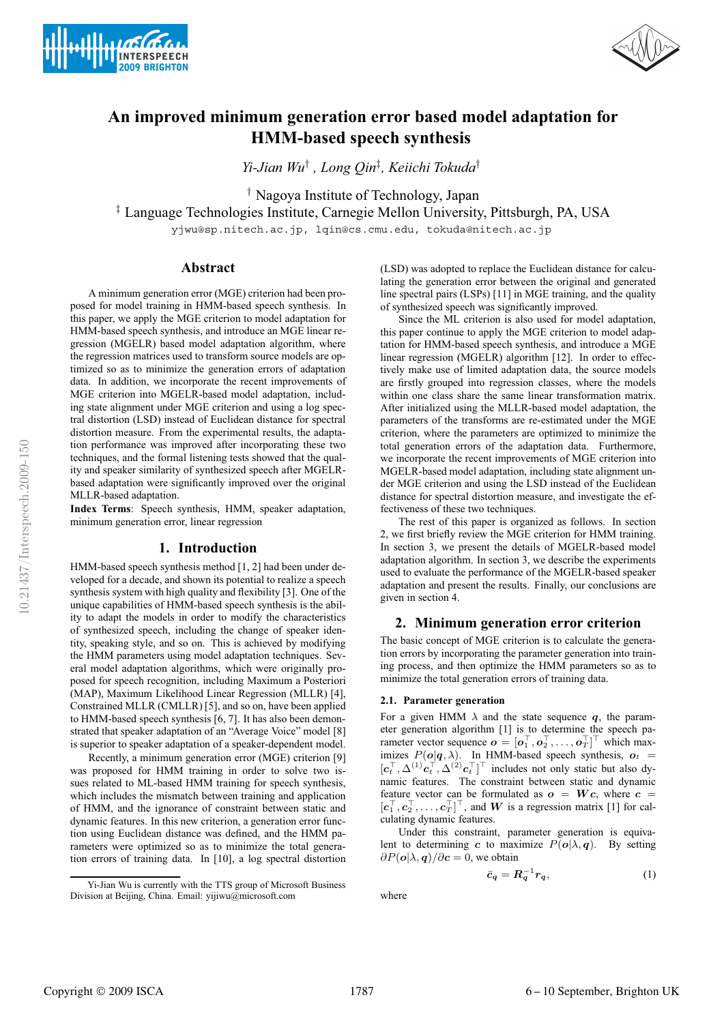



# **An improved minimum generation error based model adaptation for HMM-based speech synthesis**

*Yi-Jian Wu*† *, Long Qin*‡ *, Keiichi Tokuda*†

† Nagoya Institute of Technology, Japan

‡ Language Technologies Institute, Carnegie Mellon University, Pittsburgh, PA, USA

yjwu@sp.nitech.ac.jp, lqin@cs.cmu.edu, tokuda@nitech.ac.jp

# **Abstract**

A minimum generation error (MGE) criterion had been proposed for model training in HMM-based speech synthesis. In this paper, we apply the MGE criterion to model adaptation for HMM-based speech synthesis, and introduce an MGE linear regression (MGELR) based model adaptation algorithm, where the regression matrices used to transform source models are optimized so as to minimize the generation errors of adaptation data. In addition, we incorporate the recent improvements of MGE criterion into MGELR-based model adaptation, including state alignment under MGE criterion and using a log spectral distortion (LSD) instead of Euclidean distance for spectral distortion measure. From the experimental results, the adaptation performance was improved after incorporating these two techniques, and the formal listening tests showed that the quality and speaker similarity of synthesized speech after MGELRbased adaptation were significantly improved over the original MLLR-based adaptation.

**Index Terms**: Speech synthesis, HMM, speaker adaptation, minimum generation error, linear regression

#### **1. Introduction**

HMM-based speech synthesis method [1, 2] had been under developed for a decade, and shown its potential to realize a speech synthesis system with high quality and flexibility [3]. One of the unique capabilities of HMM-based speech synthesis is the ability to adapt the models in order to modify the characteristics of synthesized speech, including the change of speaker identity, speaking style, and so on. This is achieved by modifying the HMM parameters using model adaptation techniques. Several model adaptation algorithms, which were originally proposed for speech recognition, including Maximum a Posteriori (MAP), Maximum Likelihood Linear Regression (MLLR) [4], Constrained MLLR (CMLLR) [5], and so on, have been applied to HMM-based speech synthesis [6, 7]. It has also been demonstrated that speaker adaptation of an "Average Voice" model [8] is superior to speaker adaptation of a speaker-dependent model.

Recently, a minimum generation error (MGE) criterion [9] was proposed for HMM training in order to solve two issues related to ML-based HMM training for speech synthesis, which includes the mismatch between training and application of HMM, and the ignorance of constraint between static and dynamic features. In this new criterion, a generation error function using Euclidean distance was defined, and the HMM parameters were optimized so as to minimize the total generation errors of training data. In [10], a log spectral distortion (LSD) was adopted to replace the Euclidean distance for calculating the generation error between the original and generated line spectral pairs (LSPs) [11] in MGE training, and the quality of synthesized speech was significantly improved.

Since the ML criterion is also used for model adaptation, this paper continue to apply the MGE criterion to model adaptation for HMM-based speech synthesis, and introduce a MGE linear regression (MGELR) algorithm [12]. In order to effectively make use of limited adaptation data, the source models are firstly grouped into regression classes, where the models within one class share the same linear transformation matrix. After initialized using the MLLR-based model adaptation, the parameters of the transforms are re-estimated under the MGE criterion, where the parameters are optimized to minimize the total generation errors of the adaptation data. Furthermore, we incorporate the recent improvements of MGE criterion into MGELR-based model adaptation, including state alignment under MGE criterion and using the LSD instead of the Euclidean distance for spectral distortion measure, and investigate the effectiveness of these two techniques.

The rest of this paper is organized as follows. In section 2, we first briefly review the MGE criterion for HMM training. In section 3, we present the details of MGELR-based model adaptation algorithm. In section 3, we describe the experiments used to evaluate the performance of the MGELR-based speaker adaptation and present the results. Finally, our conclusions are given in section 4.

# **2. Minimum generation error criterion**

The basic concept of MGE criterion is to calculate the generation errors by incorporating the parameter generation into training process, and then optimize the HMM parameters so as to minimize the total generation errors of training data.

# **2.1. Parameter generation**

For a given HMM  $\lambda$  and the state sequence q, the parameter generation algorithm [1] is to determine the speech parameter vector sequence  $\mathbf{o} = [\mathbf{o}_1^\top, \mathbf{o}_2^\top, \dots, \mathbf{o}_T^\top]^\top$  which maximizes  $P(o|q, \lambda)$ . In HMM-based speech synthesis,  $o_t$  =  $[c_t^{\top}, \Delta^{(1)} c_t^{\top}, \Delta^{(2)} c_t^{\top}]^{\top}$  includes not only static but also dynamic features. The constraint between static and dynamic feature vector can be formulated as  $o = Wc$ , where  $c =$  $[c_1^{\perp}, c_2^{\perp}, \ldots, c_T^{\perp}]^{\perp}$ , and W is a regression matrix [1] for calculating dynamic features.

Under this constraint, parameter generation is equivalent to determining c to maximize  $P(o|\lambda, q)$ . By setting  $\partial P(o|\lambda, q)/\partial c = 0$ , we obtain

$$
\bar{c}_q = R_q^{-1} r_q, \tag{1}
$$

where

Yi-Jian Wu is currently with the TTS group of Microsoft Business Division at Beijing, China. Email: yijiwu@microsoft.com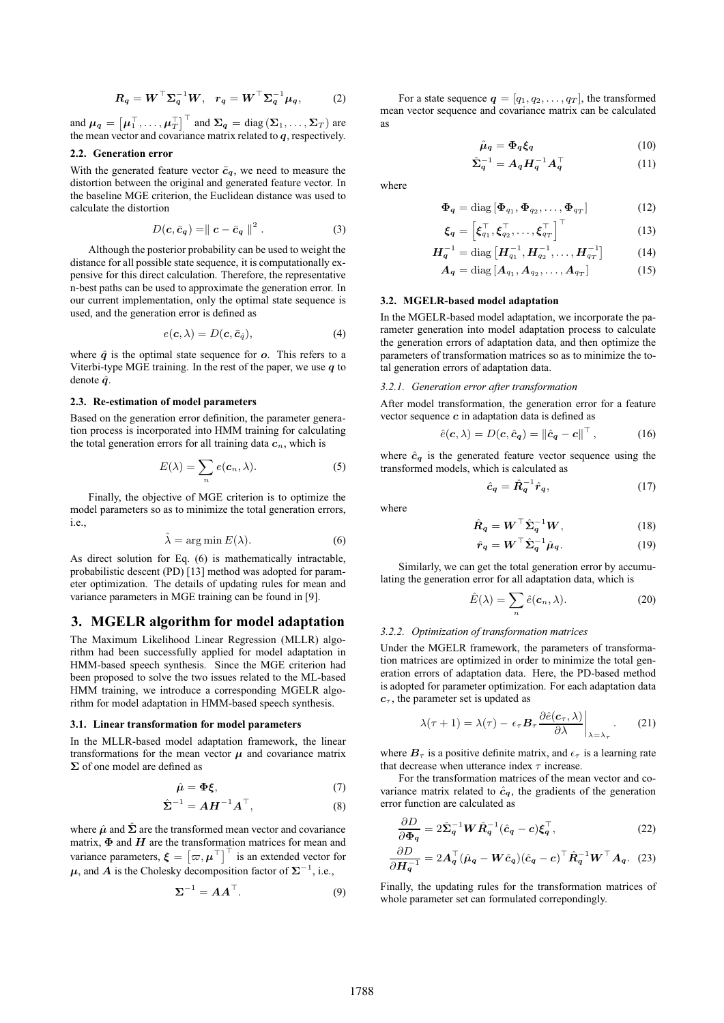$$
R_q = W^\top \Sigma_q^{-1} W, \quad r_q = W^\top \Sigma_q^{-1} \mu_q,
$$
 (2)

and  $\mu_q = \left[\mu_1^\top, \ldots, \mu_T^\top \right]^\top$  and  $\mathbf{\Sigma}_q = \text{diag}\left(\mathbf{\Sigma}_1, \ldots, \mathbf{\Sigma}_T \right)$  are the mean vector and covariance matrix related to  $q$ , respectively.

# **2.2. Generation error**

With the generated feature vector  $\bar{c}_q$ , we need to measure the distortion between the original and generated feature vector. In the baseline MGE criterion, the Euclidean distance was used to calculate the distortion

$$
D(c, \bar{c}_q) = || c - \bar{c}_q ||^2 . \tag{3}
$$

Although the posterior probability can be used to weight the distance for all possible state sequence, it is computationally expensive for this direct calculation. Therefore, the representative n-best paths can be used to approximate the generation error. In our current implementation, only the optimal state sequence is used, and the generation error is defined as

$$
e(\mathbf{c}, \lambda) = D(\mathbf{c}, \bar{\mathbf{c}}_{\hat{q}}), \tag{4}
$$

where  $\hat{q}$  is the optimal state sequence for  $\rho$ . This refers to a Viterbi-type MGE training. In the rest of the paper, we use  $q$  to denote  $\hat{q}$ .

#### **2.3. Re-estimation of model parameters**

Based on the generation error definition, the parameter generation process is incorporated into HMM training for calculating the total generation errors for all training data  $c_n$ , which is

$$
E(\lambda) = \sum_{n} e(c_n, \lambda).
$$
 (5)

Finally, the objective of MGE criterion is to optimize the model parameters so as to minimize the total generation errors, i.e.,

$$
\hat{\lambda} = \arg \min E(\lambda). \tag{6}
$$

As direct solution for Eq. (6) is mathematically intractable, probabilistic descent (PD) [13] method was adopted for parameter optimization. The details of updating rules for mean and variance parameters in MGE training can be found in [9].

# **3. MGELR algorithm for model adaptation**

The Maximum Likelihood Linear Regression (MLLR) algorithm had been successfully applied for model adaptation in HMM-based speech synthesis. Since the MGE criterion had been proposed to solve the two issues related to the ML-based HMM training, we introduce a corresponding MGELR algorithm for model adaptation in HMM-based speech synthesis.

#### **3.1. Linear transformation for model parameters**

In the MLLR-based model adaptation framework, the linear transformations for the mean vector  $\mu$  and covariance matrix Σ of one model are defined as

$$
\hat{\mu} = \Phi \xi,\tag{7}
$$

$$
\hat{\Sigma}^{-1} = AH^{-1}A^{\top},\tag{8}
$$

where  $\hat{\mu}$  and  $\hat{\Sigma}$  are the transformed mean vector and covariance matrix,  $\Phi$  and  $H$  are the transformation matrices for mean and variance parameters,  $\boldsymbol{\xi} = [\varpi, \boldsymbol{\mu}^{\top}]^{\top}$  is an extended vector for  $\mu$ , and A is the Cholesky decomposition factor of  $\Sigma^{-1}$ , i.e.,

$$
\Sigma^{-1} = AA^{\top}.
$$
 (9)

For a state sequence  $q = [q_1, q_2, \dots, q_T]$ , the transformed mean vector sequence and covariance matrix can be calculated as

$$
\hat{\mu}_q = \Phi_q \xi_q \tag{10}
$$

 $\hat{\boldsymbol{\Sigma}}_{\boldsymbol{q}}^{-1} = \boldsymbol{A}_{\boldsymbol{q}} \boldsymbol{H}_{\boldsymbol{q}}^{-1} \boldsymbol{A}_{\boldsymbol{q}}^\top$  $(11)$ 

where

$$
\mathbf{\Phi}_q = \text{diag}\left[\mathbf{\Phi}_{q_1}, \mathbf{\Phi}_{q_2}, \dots, \mathbf{\Phi}_{q_T}\right] \tag{12}
$$

$$
\boldsymbol{\xi_q} = \left[ \boldsymbol{\xi}_{q_1}^\top, \boldsymbol{\xi}_{q_2}^\top, \dots, \boldsymbol{\xi}_{q_T}^\top \right]^\top \tag{13}
$$

$$
\boldsymbol{H}_{\boldsymbol{q}}^{-1} = \text{diag}\left[\boldsymbol{H}_{q_1}^{-1}, \boldsymbol{H}_{q_2}^{-1}, \dots, \boldsymbol{H}_{q_T}^{-1}\right]
$$
(14)

$$
\boldsymbol{A}_{\boldsymbol{q}} = \text{diag}\left[\boldsymbol{A}_{q_1}, \boldsymbol{A}_{q_2}, \dots, \boldsymbol{A}_{q_T}\right] \tag{15}
$$

# **3.2. MGELR-based model adaptation**

In the MGELR-based model adaptation, we incorporate the parameter generation into model adaptation process to calculate the generation errors of adaptation data, and then optimize the parameters of transformation matrices so as to minimize the total generation errors of adaptation data.

#### *3.2.1. Generation error after transformation*

After model transformation, the generation error for a feature vector sequence  $c$  in adaptation data is defined as

$$
\hat{e}(\boldsymbol{c},\lambda) = D(\boldsymbol{c},\hat{\boldsymbol{c}}_{\boldsymbol{q}}) = \|\hat{\boldsymbol{c}}_{\boldsymbol{q}} - \boldsymbol{c}\|^\top,\tag{16}
$$

where  $\hat{c}_q$  is the generated feature vector sequence using the transformed models, which is calculated as

$$
\hat{\boldsymbol{c}}_{\boldsymbol{q}} = \hat{\boldsymbol{R}}_{\boldsymbol{q}}^{-1} \hat{\boldsymbol{r}}_{\boldsymbol{q}},\tag{17}
$$

where

$$
\hat{\boldsymbol{R}}_{q} = \boldsymbol{W}^{\top} \hat{\boldsymbol{\Sigma}}_{q}^{-1} \boldsymbol{W}, \qquad (18)
$$

$$
\hat{r}_q = W^\top \Sigma_q^{-1} \hat{\mu}_q. \tag{19}
$$

Similarly, we can get the total generation error by accumulating the generation error for all adaptation data, which is

$$
\hat{E}(\lambda) = \sum_{n} \hat{e}(c_n, \lambda).
$$
 (20)

#### *3.2.2. Optimization of transformation matrices*

Under the MGELR framework, the parameters of transformation matrices are optimized in order to minimize the total generation errors of adaptation data. Here, the PD-based method is adopted for parameter optimization. For each adaptation data  $c_{\tau}$ , the parameter set is updated as

$$
\lambda(\tau+1) = \lambda(\tau) - \epsilon_{\tau} B_{\tau} \frac{\partial \hat{e}(\boldsymbol{c}_{\tau}, \lambda)}{\partial \lambda} \bigg|_{\lambda = \lambda_{\tau}}.
$$
 (21)

where  $B_{\tau}$  is a positive definite matrix, and  $\epsilon_{\tau}$  is a learning rate that decrease when utterance index  $\tau$  increase.

For the transformation matrices of the mean vector and covariance matrix related to  $\hat{c}_q$ , the gradients of the generation error function are calculated as

$$
\frac{\partial D}{\partial \Phi_q} = 2\hat{\Sigma}_q^{-1} W \hat{R}_q^{-1} (\hat{c}_q - c) \xi_q^{\top}, \qquad (22)
$$

$$
\frac{\partial D}{\partial \boldsymbol{H}_q^{-1}} = 2 \boldsymbol{A}_q^\top (\hat{\boldsymbol{\mu}}_q - \boldsymbol{W}\hat{\boldsymbol{c}}_q)(\hat{\boldsymbol{c}}_q - \boldsymbol{c})^\top \hat{\boldsymbol{R}}_q^{-1} \boldsymbol{W}^\top \boldsymbol{A}_q. (23)
$$

Finally, the updating rules for the transformation matrices of whole parameter set can formulated correpondingly.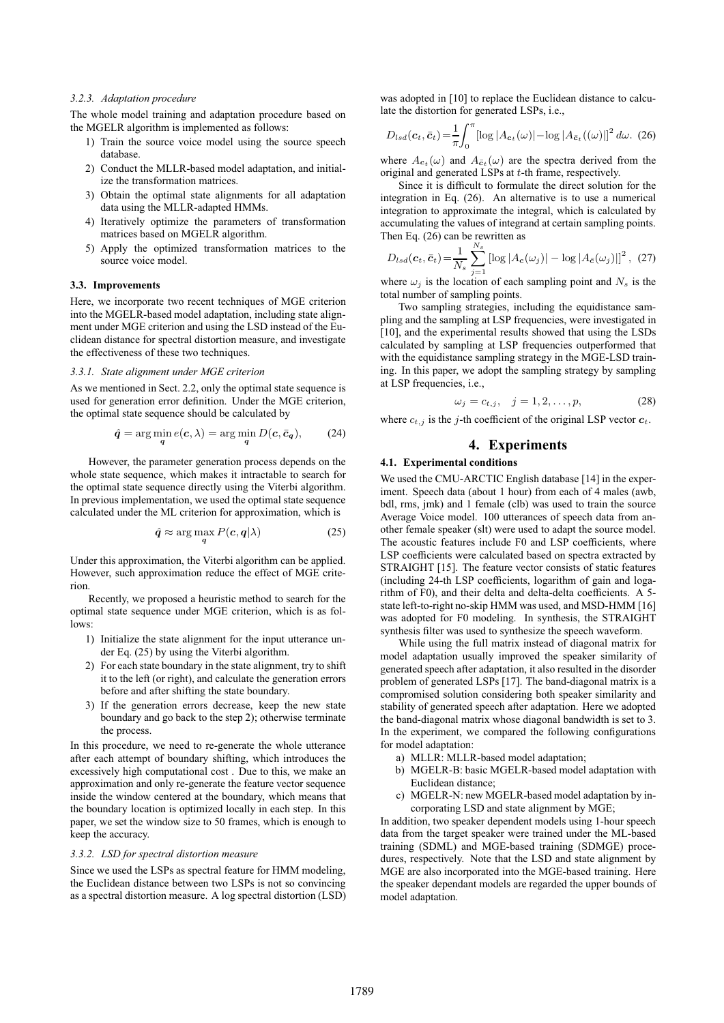### *3.2.3. Adaptation procedure*

The whole model training and adaptation procedure based on the MGELR algorithm is implemented as follows:

- 1) Train the source voice model using the source speech database.
- 2) Conduct the MLLR-based model adaptation, and initialize the transformation matrices.
- 3) Obtain the optimal state alignments for all adaptation data using the MLLR-adapted HMMs.
- 4) Iteratively optimize the parameters of transformation matrices based on MGELR algorithm.
- 5) Apply the optimized transformation matrices to the source voice model.

## **3.3. Improvements**

Here, we incorporate two recent techniques of MGE criterion into the MGELR-based model adaptation, including state alignment under MGE criterion and using the LSD instead of the Euclidean distance for spectral distortion measure, and investigate the effectiveness of these two techniques.

#### *3.3.1. State alignment under MGE criterion*

As we mentioned in Sect. 2.2, only the optimal state sequence is used for generation error definition. Under the MGE criterion, the optimal state sequence should be calculated by

$$
\hat{q} = \arg\min_{q} e(c, \lambda) = \arg\min_{q} D(c, \bar{c}_q), \qquad (24)
$$

However, the parameter generation process depends on the whole state sequence, which makes it intractable to search for the optimal state sequence directly using the Viterbi algorithm. In previous implementation, we used the optimal state sequence calculated under the ML criterion for approximation, which is

$$
\hat{q} \approx \arg\max_{q} P(c, q | \lambda)
$$
 (25)

Under this approximation, the Viterbi algorithm can be applied. However, such approximation reduce the effect of MGE criterion.

Recently, we proposed a heuristic method to search for the optimal state sequence under MGE criterion, which is as follows:

- 1) Initialize the state alignment for the input utterance under Eq. (25) by using the Viterbi algorithm.
- 2) For each state boundary in the state alignment, try to shift it to the left (or right), and calculate the generation errors before and after shifting the state boundary.
- 3) If the generation errors decrease, keep the new state boundary and go back to the step 2); otherwise terminate the process.

In this procedure, we need to re-generate the whole utterance after each attempt of boundary shifting, which introduces the excessively high computational cost . Due to this, we make an approximation and only re-generate the feature vector sequence inside the window centered at the boundary, which means that the boundary location is optimized locally in each step. In this paper, we set the window size to 50 frames, which is enough to keep the accuracy.

## *3.3.2. LSD for spectral distortion measure*

Since we used the LSPs as spectral feature for HMM modeling, the Euclidean distance between two LSPs is not so convincing as a spectral distortion measure. A log spectral distortion (LSD)

was adopted in [10] to replace the Euclidean distance to calculate the distortion for generated LSPs, i.e.,

$$
D_{lsd}(\boldsymbol{c}_t, \bar{\boldsymbol{c}}_t) = \frac{1}{\pi} \int_0^{\pi} \left[ \log |A_{\boldsymbol{c}_t}(\omega)| - \log |A_{\bar{\boldsymbol{c}}_t}((\omega)| \right]^2 d\omega. \tag{26}
$$

where  $A_{c_t}(\omega)$  and  $A_{\bar{c}_t}(\omega)$  are the spectra derived from the original and generated LSPs at t-th frame, respectively.

Since it is difficult to formulate the direct solution for the integration in Eq. (26). An alternative is to use a numerical integration to approximate the integral, which is calculated by accumulating the values of integrand at certain sampling points. Then Eq. (26) can be rewritten as

$$
D_{lsd}(c_t, \bar{c}_t) = \frac{1}{N_s} \sum_{j=1}^{N_s} \left[ \log |A_c(\omega_j)| - \log |A_{\bar{c}}(\omega_j)| \right]^2, (27)
$$

where  $\omega_i$  is the location of each sampling point and  $N_s$  is the total number of sampling points.

Two sampling strategies, including the equidistance sampling and the sampling at LSP frequencies, were investigated in [10], and the experimental results showed that using the LSDs calculated by sampling at LSP frequencies outperformed that with the equidistance sampling strategy in the MGE-LSD training. In this paper, we adopt the sampling strategy by sampling at LSP frequencies, i.e.,

$$
\omega_j = c_{t,j}, \quad j = 1, 2, \dots, p,\tag{28}
$$

where  $c_{t,j}$  is the j-th coefficient of the original LSP vector  $c_t$ .

## **4. Experiments**

#### **4.1. Experimental conditions**

We used the CMU-ARCTIC English database [14] in the experiment. Speech data (about 1 hour) from each of 4 males (awb, bdl, rms, jmk) and 1 female (clb) was used to train the source Average Voice model. 100 utterances of speech data from another female speaker (slt) were used to adapt the source model. The acoustic features include F0 and LSP coefficients, where LSP coefficients were calculated based on spectra extracted by STRAIGHT [15]. The feature vector consists of static features (including 24-th LSP coefficients, logarithm of gain and logarithm of F0), and their delta and delta-delta coefficients. A 5 state left-to-right no-skip HMM was used, and MSD-HMM [16] was adopted for F0 modeling. In synthesis, the STRAIGHT synthesis filter was used to synthesize the speech waveform.

While using the full matrix instead of diagonal matrix for model adaptation usually improved the speaker similarity of generated speech after adaptation, it also resulted in the disorder problem of generated LSPs [17]. The band-diagonal matrix is a compromised solution considering both speaker similarity and stability of generated speech after adaptation. Here we adopted the band-diagonal matrix whose diagonal bandwidth is set to 3. In the experiment, we compared the following configurations for model adaptation:

- a) MLLR: MLLR-based model adaptation;
- b) MGELR-B: basic MGELR-based model adaptation with Euclidean distance;
- c) MGELR-N: new MGELR-based model adaptation by incorporating LSD and state alignment by MGE;

In addition, two speaker dependent models using 1-hour speech data from the target speaker were trained under the ML-based training (SDML) and MGE-based training (SDMGE) procedures, respectively. Note that the LSD and state alignment by MGE are also incorporated into the MGE-based training. Here the speaker dependant models are regarded the upper bounds of model adaptation.